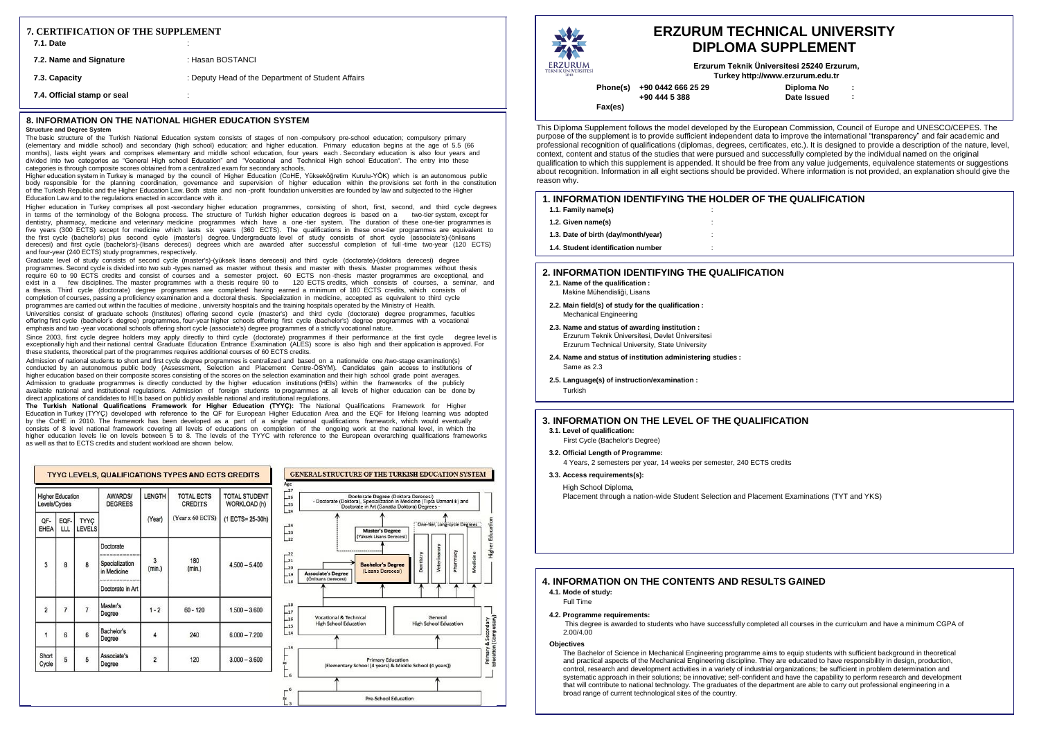**Phone(s) +90 0442 666 25 29 +90 444 5 388**

**Fax(es)**

**: : Diploma No Date Issued Erzurum Teknik Üniversitesi 25240 Erzurum, Turke[y http://www.erzurum.edu.tr](http://www.erzurum.edu.tr/)**

# **IE QUALIFICATION**

# **ERZURUM TECHNICAL UNIVERSITY DIPLOMA SUPPLEMENT**

### **8. INFORMATION ON THE NATIONAL HIGHER EDUCATION SYSTEM**

### **Structure and Degree System**

The basic structure of the Turkish National Education system consists of stages of non -compulsory pre-school education; compulsory primary (elementary and middle school) and secondary (high school) education; and higher education. Primary education begins at the age of 5.5 (66 months), lasts eight years and comprises elementary and middle school education, four years each . Secondary education is also four years and divided into two categories as "General High school Education" and "Vocational and Technical High school Education". The entry into these categories is through composite scores obtained from a centralized exam for secondary schools.

Higher education system in Turkey is managed by the council of Higher Education (CoHE, Yükseköğretim Kurulu-YÖK) which is an autonomous public body responsible for the planning coordination, governance and supervision of higher education within the provisions set forth in the constitution of the Turkish Republic and the Higher Education Law. Both state and non -profit foundation universities are founded by law and subjected to the Higher Education Law and to the regulations enacted in accordance with it.

Higher education in Turkey comprises all post -secondary higher education programmes, consisting of short, first, second, and third cycle degrees in terms of the terminology of the Bologna process. The structure of Turkish higher education degrees is based on a two-tier system, except for dentistry, pharmacy, medicine and veterinary medicine programmes which have a one -tier system. The duration of these one-tier programmes is five years (300 ECTS) except for medicine which lasts six years (360 ECTS). The qualifications in these one-tier programmes are equivalent to the first cycle (bachelor's) plus second cycle (master's) degree. Undergraduate level of study consists of short cycle (associate's)-(önlisans derecesi) and first cycle (bachelor's)-(lisans derecesi) degrees which are awarded after successful completion of full -time two-year (120 ECTS) and four-year (240 ECTS) study programmes, respectively.

Graduate level of study consists of second cycle (master's)-(yüksek lisans derecesi) and third cycle (doctorate)-(doktora derecesi) degree programmes. Second cycle is divided into two sub -types named as master without thesis and master with thesis. Master programmes without thesis require 60 to 90 ECTS credits and consist of courses and a semester project. 60 ECTS non -thesis master programmes are exceptional, and exist in a few disciplines. The master programmes with a thesis require 90 to 120 ECTS credits, which consists of courses, a seminar, and a thesis. Third cycle (doctorate) degree programmes are completed having earned a minimum of 180 ECTS credits, which consists of completion of courses, passing a proficiency examination and a doctoral thesis. Specialization in medicine, accepted as equivalent to third cycle programmes are carried out within the faculties of medicine, university hospitals and the training hospitals operated by the Ministry of Health. Universities consist of graduate schools (Institutes) offering second cycle (master's) and third cycle (doctorate) degree programmes, faculties offering first cycle (bachelor's degree) programmes, four-year higher schools offering first cycle (bachelor's) degree programmes with a vocational emphasis and two -year vocational schools offering short cycle (associate's) degree programmes of a strictly vocational nature.

Since 2003, first cycle degree holders may apply directly to third cycle (doctorate) programmes if their performance at the first cycle degree level is exceptionally high and their national central Graduate Education Entrance Examination (ALES) score is also high and their application is approved. For these students, theoretical part of the programmes requires additional courses of 60 ECTS credits.

Admission of national students to short and first cycle degree programmes is centralized and based on a nationwide one /two-stage examination(s) conducted by an autonomous public body (Assessment, Selection and Placement Centre-ÖSYM). Candidates gain access to institutions of higher education based on their composite scores consisting of the scores on the selection examination and their high school grade point averages. Admission to graduate programmes is directly conducted by the higher education institutions (HEIs) within the frameworks of the publicly available national and institutional regulations. Admission of foreign students to programmes at all levels of higher education can be done by direct applications of candidates to HEIs based on publicly available national and institutional regulations.

**The Turkish National Qualifications Framework for Higher Education (TYYÇ):** The National Qualifications Framework for Higher Education in Turkey (TYYÇ) developed with reference to the QF for European Higher Education Area and the EQF for lifelong learning was adopted by the CoHE in 2010. The framework has been developed as a part of a single national qualifications framework, which would eventually consists of 8 level national framework covering all levels of educations on completion of the ongoing work at the national level, in which the higher education levels lie on levels between 5 to 8. The levels of the TYYC with reference to the European overarching qualifications frameworks as well as that to ECTS credits and student workload are shown below.

| <b>Higher Education</b><br>Levels/Cycles |                | <b>AWARDS/</b><br><b>DEGREES</b> | LENGTH                                                         | <b>TOTAL ECTS</b><br><b>CREDITS</b> | <b>TOTAL STUDENT</b><br>WORKLOAD (h) |                  |
|------------------------------------------|----------------|----------------------------------|----------------------------------------------------------------|-------------------------------------|--------------------------------------|------------------|
| QF-<br>EHEA                              | EQF-<br>LLL    | TYYÇ<br><b>LEVELS</b>            |                                                                | (Year)                              | (Year x 60 ECTS)                     | (1 ECTS= 25-30h) |
| 3                                        | 8              | 8                                | Doctorate<br>Specialization<br>in Medicine<br>Doctorate in Art | 3<br>(min.)                         | 180<br>(min.)                        | $4.500 - 5.400$  |
| $\overline{2}$                           | $\overline{7}$ | $\overline{7}$                   | Master's<br>Degree                                             | $1 - 2$                             | $60 - 120$                           | $1.500 - 3.600$  |
| $\overline{1}$                           | 6              | 6                                | Bachelor's<br>Degree                                           | 4                                   | 240                                  | $6.000 - 7.200$  |
| Short<br>Cycle                           | 5              | 5                                | Associate's<br>Degree                                          | $\overline{2}$                      | 120                                  | $3,000 - 3,600$  |

### GENERAL STRUCTURE OF THE TURKISH EDUCATION SYSTEM  $-27$ Doctorate Degree (Doktora Derecesi)<br>Doktora), Specialization in Medicine (Tipta Uzmanlık) and<br>Doctorate in Art (Sanatta Doktora) Degrees - $-26$ - Doctorate (Doktora), Spec  $-25$  $-24$  $-24$ **Master's Degree**  $23$ **füksek Lisans De**  $_{22}$  $-22$  $21$ **Bachelor's Degre**  $\mathbf{L}_{20}$ (Lisans Derecesi **Associate's Degree**<br>(Onlisans Derecesi)  $-19$  $\mathbf{u}$  $\perp$  $-17$ **Vocational & Technica** Genera  $16$ **High School Education High School Education**  $-15$  $-14$  $-1$ Primary Education<br>(Elementary School (4 years) & Middle School (4 years))  $-6$ Pre-School Education

| ERZURUM<br><b>TEKNÍK ÜNÍVERSÍTESÍ</b> |  |
|---------------------------------------|--|

This Diploma Supplement follows the model developed by the European Commission, Council of Europe and UNESCO/CEPES. The purpose of the supplement is to provide sufficient independent data to improve the international "transparency" and fair academic and professional recognition of qualifications (diplomas, degrees, certificates, etc.). It is designed to provide a description of the nature, level, context, content and status of the studies that were pursued and successfully completed by the individual named on the original qualification to which this supplement is appended. It should be free from any value judgements, equivalence statements or suggestions about recognition. Information in all eight sections should be provided. Where information is not provided, an explanation should give the reason why.

| 7. CERTIFICATION OF THE SUPPLEMENT<br><b>7.1. Date</b> |                                                    |
|--------------------------------------------------------|----------------------------------------------------|
| 7.2. Name and Signature                                | : Hasan BOSTANCI                                   |
| 7.3. Capacity                                          | : Deputy Head of the Department of Student Affairs |
| 7.4. Official stamp or seal                            |                                                    |

| <b>1. INFORMATION IDENTIFYING THE HOLDER OF TH</b><br>1.1. Family name(s) |   |
|---------------------------------------------------------------------------|---|
| 1.2. Given name(s)                                                        |   |
| 1.3. Date of birth (day/month/year)                                       | ٠ |
| 1.4. Student identification number                                        | ٠ |
|                                                                           |   |

### **2. INFORMATION IDENTIFYING THE QUALIFICATION**

- **2.1. Name of the qualification :** Makine Mühendisliği, Lisans
- **2.2. Main field(s) of study for the qualification :** Mechanical Engineering
- **2.3. Name and status of awarding institution :**  Erzurum Teknik Üniversitesi, Devlet Üniversitesi Erzurum Technical University, State University
- **2.4. Name and status of institution administering studies :** Same as 2.3
- **2.5. Language(s) of instruction/examination :** Turkish

# **4. INFORMATION ON THE CONTENTS AND RESULTS GAINED**

- **4.1. Mode of study:**
	- Full Time
- **4.2. Programme requirements:**
	- This degree is awarded to students who have successfully completed all courses in the curriculum and have a minimum CGPA of 2.00/4.00
- **Objectives**

The Bachelor of Science in Mechanical Engineering programme aims to equip students with sufficient background in theoretical and practical aspects of the Mechanical Engineering discipline. They are educated to have responsibility in design, production, control, research and development activities in a variety of industrial organizations; be sufficient in problem determination and systematic approach in their solutions; be innovative; self-confident and have the capability to perform research and development that will contribute to national technology. The graduates of the department are able to carry out professional engineering in a broad range of current technological sites of the country.

# **3. INFORMATION ON THE LEVEL OF THE QUALIFICATION**

# **3.1. Level of qualification:**

- First Cycle (Bachelor's Degree)
- **3.2. Official Length of Programme:**
	- 4 Years, 2 semesters per year, 14 weeks per semester, 240 ECTS credits
- **3.3. Access requirements(s):**

### High School Diploma,

Placement through a nation-wide Student Selection and Placement Examinations (TYT and YKS)